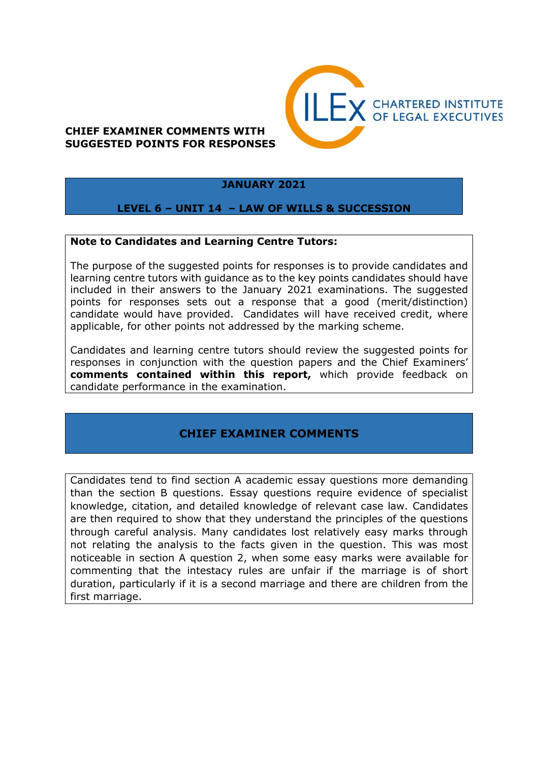# **CHIEF EXAMINER COMMENTS WITH SUGGESTED POINTS FOR RESPONSES**



#### **JANUARY 2021**

#### **LEVEL 6 – UNIT 14 – LAW OF WILLS & SUCCESSION**

#### **Note to Candidates and Learning Centre Tutors:**

The purpose of the suggested points for responses is to provide candidates and learning centre tutors with guidance as to the key points candidates should have included in their answers to the January 2021 examinations. The suggested points for responses sets out a response that a good (merit/distinction) candidate would have provided. Candidates will have received credit, where applicable, for other points not addressed by the marking scheme.

Candidates and learning centre tutors should review the suggested points for responses in conjunction with the question papers and the Chief Examiners' **comments contained within this report,** which provide feedback on candidate performance in the examination.

## **CHIEF EXAMINER COMMENTS**

Candidates tend to find section A academic essay questions more demanding than the section B questions. Essay questions require evidence of specialist knowledge, citation, and detailed knowledge of relevant case law. Candidates are then required to show that they understand the principles of the questions through careful analysis. Many candidates lost relatively easy marks through not relating the analysis to the facts given in the question. This was most noticeable in section A question 2, when some easy marks were available for commenting that the intestacy rules are unfair if the marriage is of short duration, particularly if it is a second marriage and there are children from the first marriage.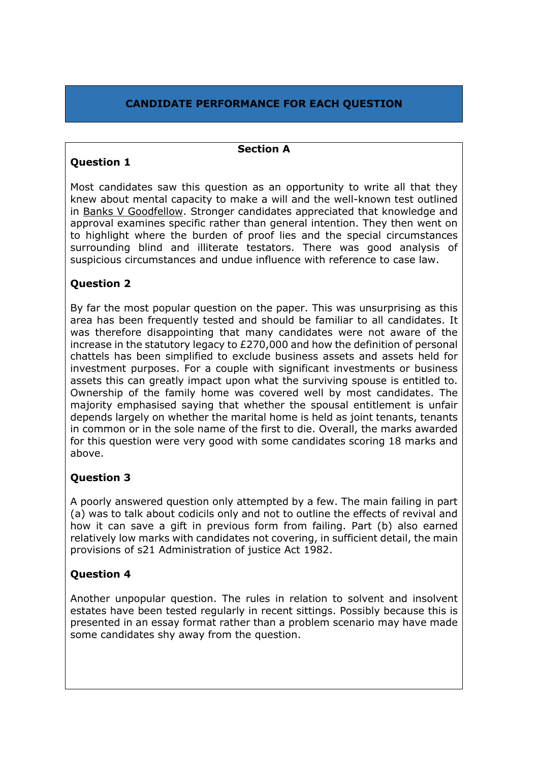# **CANDIDATE PERFORMANCE FOR EACH QUESTION**

**Section A**

# **Question 1**

Most candidates saw this question as an opportunity to write all that they knew about mental capacity to make a will and the well-known test outlined in Banks V Goodfellow. Stronger candidates appreciated that knowledge and approval examines specific rather than general intention. They then went on to highlight where the burden of proof lies and the special circumstances surrounding blind and illiterate testators. There was good analysis of suspicious circumstances and undue influence with reference to case law.

## **Question 2**

By far the most popular question on the paper. This was unsurprising as this area has been frequently tested and should be familiar to all candidates. It was therefore disappointing that many candidates were not aware of the increase in the statutory legacy to £270,000 and how the definition of personal chattels has been simplified to exclude business assets and assets held for investment purposes. For a couple with significant investments or business assets this can greatly impact upon what the surviving spouse is entitled to. Ownership of the family home was covered well by most candidates. The majority emphasised saying that whether the spousal entitlement is unfair depends largely on whether the marital home is held as joint tenants, tenants in common or in the sole name of the first to die. Overall, the marks awarded for this question were very good with some candidates scoring 18 marks and above.

## **Question 3**

A poorly answered question only attempted by a few. The main failing in part (a) was to talk about codicils only and not to outline the effects of revival and how it can save a gift in previous form from failing. Part (b) also earned relatively low marks with candidates not covering, in sufficient detail, the main provisions of s21 Administration of justice Act 1982.

## **Question 4**

Another unpopular question. The rules in relation to solvent and insolvent estates have been tested regularly in recent sittings. Possibly because this is presented in an essay format rather than a problem scenario may have made some candidates shy away from the question.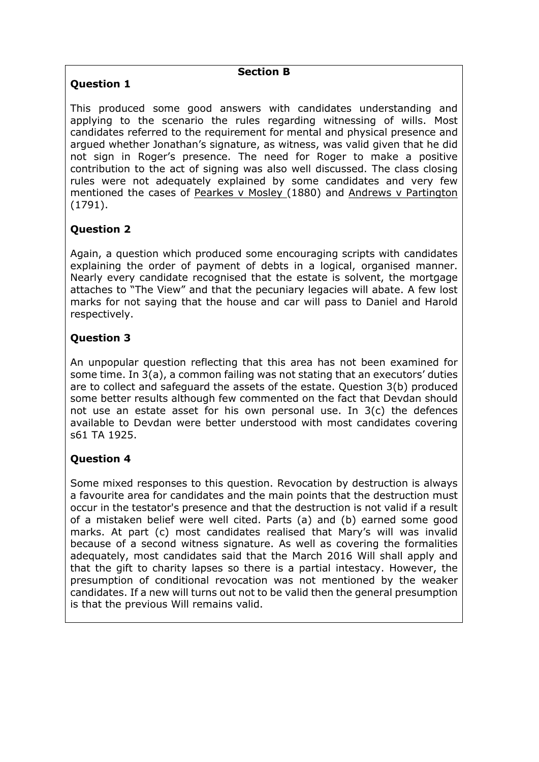# **Question 1**

#### **Section B**

This produced some good answers with candidates understanding and applying to the scenario the rules regarding witnessing of wills. Most candidates referred to the requirement for mental and physical presence and argued whether Jonathan's signature, as witness, was valid given that he did not sign in Roger's presence. The need for Roger to make a positive contribution to the act of signing was also well discussed. The class closing rules were not adequately explained by some candidates and very few mentioned the cases of Pearkes v Mosley (1880) and Andrews v Partington (1791).

# **Question 2**

Again, a question which produced some encouraging scripts with candidates explaining the order of payment of debts in a logical, organised manner. Nearly every candidate recognised that the estate is solvent, the mortgage attaches to "The View" and that the pecuniary legacies will abate. A few lost marks for not saying that the house and car will pass to Daniel and Harold respectively.

## **Question 3**

An unpopular question reflecting that this area has not been examined for some time. In 3(a), a common failing was not stating that an executors' duties are to collect and safeguard the assets of the estate. Question 3(b) produced some better results although few commented on the fact that Devdan should not use an estate asset for his own personal use. In 3(c) the defences available to Devdan were better understood with most candidates covering s61 TA 1925.

## **Question 4**

Some mixed responses to this question. Revocation by destruction is always a favourite area for candidates and the main points that the destruction must occur in the testator's presence and that the destruction is not valid if a result of a mistaken belief were well cited. Parts (a) and (b) earned some good marks. At part (c) most candidates realised that Mary's will was invalid because of a second witness signature. As well as covering the formalities adequately, most candidates said that the March 2016 Will shall apply and that the gift to charity lapses so there is a partial intestacy. However, the presumption of conditional revocation was not mentioned by the weaker candidates. If a new will turns out not to be valid then the general presumption is that the previous Will remains valid.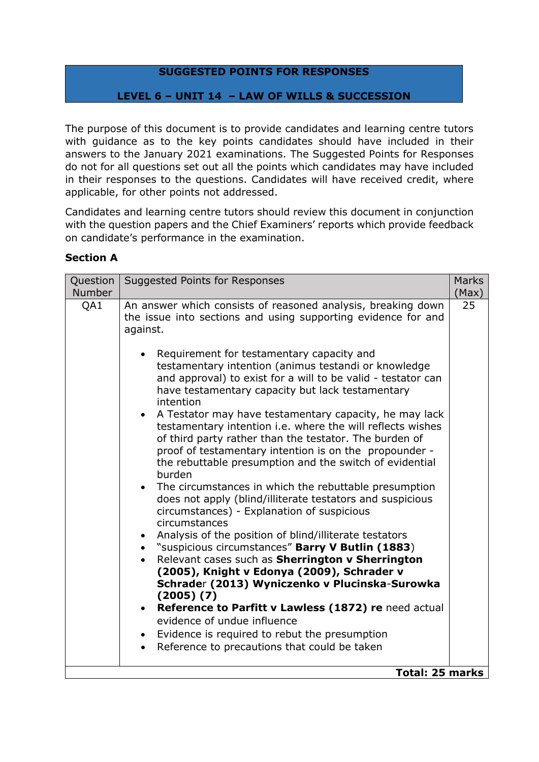### **SUGGESTED POINTS FOR RESPONSES**

### **LEVEL 6 – UNIT 14 – LAW OF WILLS & SUCCESSION**

The purpose of this document is to provide candidates and learning centre tutors with guidance as to the key points candidates should have included in their answers to the January 2021 examinations. The Suggested Points for Responses do not for all questions set out all the points which candidates may have included in their responses to the questions. Candidates will have received credit, where applicable, for other points not addressed.

Candidates and learning centre tutors should review this document in conjunction with the question papers and the Chief Examiners' reports which provide feedback on candidate's performance in the examination.

#### **Section A**

| Question<br>Number | Suggested Points for Responses                                                                                                                                                                                                                                                                                                                                                                                                                                                                                                                                                                                                                                                                                                                                                                                                                                                                                                                                                                                                                                                                                                                                                                                                                                                                                                                                                   | <b>Marks</b><br>(Max) |
|--------------------|----------------------------------------------------------------------------------------------------------------------------------------------------------------------------------------------------------------------------------------------------------------------------------------------------------------------------------------------------------------------------------------------------------------------------------------------------------------------------------------------------------------------------------------------------------------------------------------------------------------------------------------------------------------------------------------------------------------------------------------------------------------------------------------------------------------------------------------------------------------------------------------------------------------------------------------------------------------------------------------------------------------------------------------------------------------------------------------------------------------------------------------------------------------------------------------------------------------------------------------------------------------------------------------------------------------------------------------------------------------------------------|-----------------------|
| QA1                | An answer which consists of reasoned analysis, breaking down<br>the issue into sections and using supporting evidence for and<br>against.<br>Requirement for testamentary capacity and<br>testamentary intention (animus testandi or knowledge<br>and approval) to exist for a will to be valid - testator can<br>have testamentary capacity but lack testamentary<br>intention<br>• A Testator may have testamentary capacity, he may lack<br>testamentary intention i.e. where the will reflects wishes<br>of third party rather than the testator. The burden of<br>proof of testamentary intention is on the propounder -<br>the rebuttable presumption and the switch of evidential<br>burden<br>• The circumstances in which the rebuttable presumption<br>does not apply (blind/illiterate testators and suspicious<br>circumstances) - Explanation of suspicious<br>circumstances<br>Analysis of the position of blind/illiterate testators<br>• "suspicious circumstances" Barry V Butlin (1883)<br>Relevant cases such as Sherrington v Sherrington<br>(2005), Knight v Edonya (2009), Schrader v<br>Schrader (2013) Wyniczenko v Plucinska-Surowka<br>(2005) (7)<br>Reference to Parfitt v Lawless (1872) re need actual<br>$\bullet$<br>evidence of undue influence<br>Evidence is required to rebut the presumption<br>Reference to precautions that could be taken | 25                    |
|                    | <b>Total: 25 marks</b>                                                                                                                                                                                                                                                                                                                                                                                                                                                                                                                                                                                                                                                                                                                                                                                                                                                                                                                                                                                                                                                                                                                                                                                                                                                                                                                                                           |                       |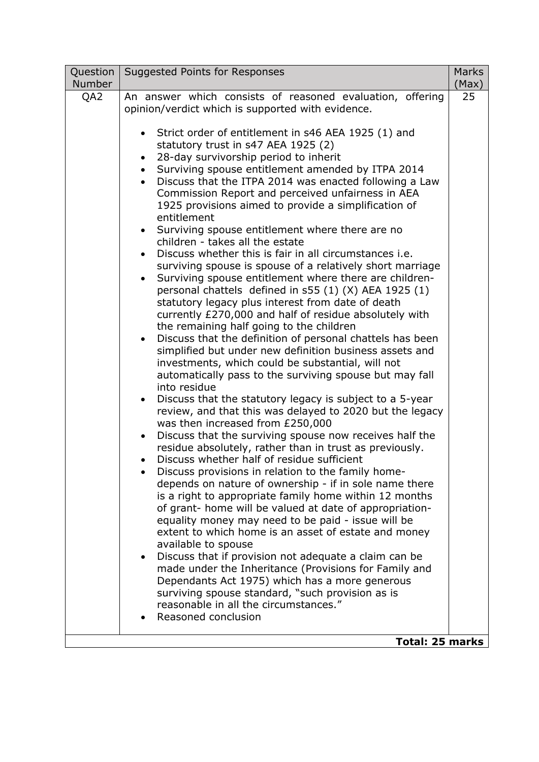| Question | Suggested Points for Responses                                                                               | <b>Marks</b> |
|----------|--------------------------------------------------------------------------------------------------------------|--------------|
| Number   | An answer which consists of reasoned evaluation, offering                                                    | (Max)<br>25  |
| QA2      | opinion/verdict which is supported with evidence.                                                            |              |
|          |                                                                                                              |              |
|          | • Strict order of entitlement in s46 AEA 1925 (1) and                                                        |              |
|          | statutory trust in s47 AEA 1925 (2)                                                                          |              |
|          | 28-day survivorship period to inherit<br>$\bullet$                                                           |              |
|          | Surviving spouse entitlement amended by ITPA 2014                                                            |              |
|          | Discuss that the ITPA 2014 was enacted following a Law                                                       |              |
|          | Commission Report and perceived unfairness in AEA                                                            |              |
|          | 1925 provisions aimed to provide a simplification of<br>entitlement                                          |              |
|          | Surviving spouse entitlement where there are no                                                              |              |
|          | children - takes all the estate                                                                              |              |
|          | Discuss whether this is fair in all circumstances i.e.                                                       |              |
|          | surviving spouse is spouse of a relatively short marriage                                                    |              |
|          | Surviving spouse entitlement where there are children-<br>$\bullet$                                          |              |
|          | personal chattels defined in s55 (1) (X) AEA 1925 (1)                                                        |              |
|          | statutory legacy plus interest from date of death                                                            |              |
|          | currently £270,000 and half of residue absolutely with                                                       |              |
|          | the remaining half going to the children                                                                     |              |
|          | Discuss that the definition of personal chattels has been                                                    |              |
|          | simplified but under new definition business assets and<br>investments, which could be substantial, will not |              |
|          | automatically pass to the surviving spouse but may fall                                                      |              |
|          | into residue                                                                                                 |              |
|          | Discuss that the statutory legacy is subject to a 5-year                                                     |              |
|          | review, and that this was delayed to 2020 but the legacy                                                     |              |
|          | was then increased from £250,000                                                                             |              |
|          | Discuss that the surviving spouse now receives half the<br>$\bullet$                                         |              |
|          | residue absolutely, rather than in trust as previously.                                                      |              |
|          | Discuss whether half of residue sufficient                                                                   |              |
|          | Discuss provisions in relation to the family home-<br>depends on nature of ownership - if in sole name there |              |
|          | is a right to appropriate family home within 12 months                                                       |              |
|          | of grant- home will be valued at date of appropriation-                                                      |              |
|          | equality money may need to be paid - issue will be                                                           |              |
|          | extent to which home is an asset of estate and money                                                         |              |
|          | available to spouse                                                                                          |              |
|          | Discuss that if provision not adequate a claim can be                                                        |              |
|          | made under the Inheritance (Provisions for Family and                                                        |              |
|          | Dependants Act 1975) which has a more generous<br>surviving spouse standard, "such provision as is           |              |
|          | reasonable in all the circumstances."                                                                        |              |
|          | Reasoned conclusion                                                                                          |              |
|          |                                                                                                              |              |
|          | Total: 25 marks                                                                                              |              |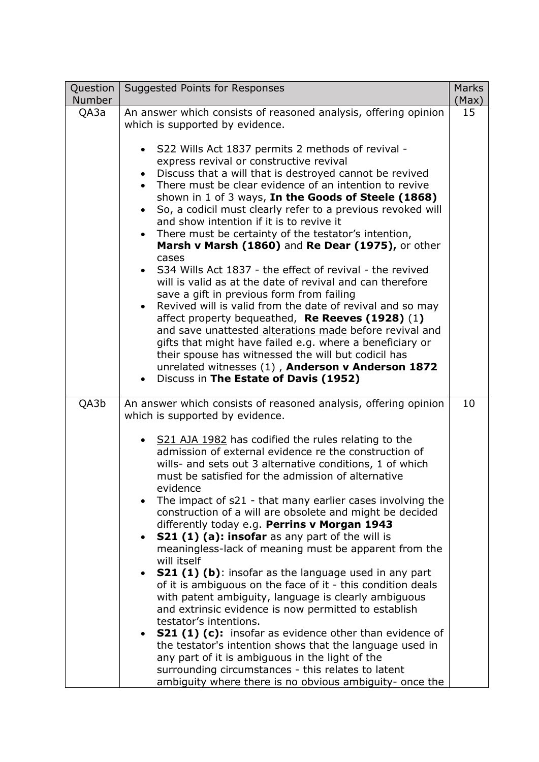| Question              | <b>Suggested Points for Responses</b>                                                                               | <b>Marks</b> |
|-----------------------|---------------------------------------------------------------------------------------------------------------------|--------------|
| <b>Number</b><br>QA3a | An answer which consists of reasoned analysis, offering opinion                                                     | (Max)<br>15  |
|                       | which is supported by evidence.                                                                                     |              |
|                       |                                                                                                                     |              |
|                       | • S22 Wills Act 1837 permits 2 methods of revival -                                                                 |              |
|                       | express revival or constructive revival                                                                             |              |
|                       | Discuss that a will that is destroyed cannot be revived<br>There must be clear evidence of an intention to revive   |              |
|                       | shown in 1 of 3 ways, In the Goods of Steele (1868)                                                                 |              |
|                       | So, a codicil must clearly refer to a previous revoked will                                                         |              |
|                       | and show intention if it is to revive it                                                                            |              |
|                       | • There must be certainty of the testator's intention,                                                              |              |
|                       | Marsh v Marsh (1860) and Re Dear (1975), or other                                                                   |              |
|                       | cases<br>S34 Wills Act 1837 - the effect of revival - the revived                                                   |              |
|                       | will is valid as at the date of revival and can therefore                                                           |              |
|                       | save a gift in previous form from failing                                                                           |              |
|                       | Revived will is valid from the date of revival and so may                                                           |              |
|                       | affect property bequeathed, Re Reeves (1928) (1)<br>and save unattested alterations made before revival and         |              |
|                       | gifts that might have failed e.g. where a beneficiary or                                                            |              |
|                       | their spouse has witnessed the will but codicil has                                                                 |              |
|                       | unrelated witnesses (1), Anderson v Anderson 1872                                                                   |              |
|                       | Discuss in The Estate of Davis (1952)                                                                               |              |
| QA3b                  | An answer which consists of reasoned analysis, offering opinion                                                     | 10           |
|                       | which is supported by evidence.                                                                                     |              |
|                       |                                                                                                                     |              |
|                       | • S21 AJA 1982 has codified the rules relating to the<br>admission of external evidence re the construction of      |              |
|                       | wills- and sets out 3 alternative conditions, 1 of which                                                            |              |
|                       | must be satisfied for the admission of alternative                                                                  |              |
|                       | evidence                                                                                                            |              |
|                       | The impact of s21 - that many earlier cases involving the                                                           |              |
|                       | construction of a will are obsolete and might be decided<br>differently today e.g. Perrins v Morgan 1943            |              |
|                       | <b>S21 (1) (a): insofar</b> as any part of the will is                                                              |              |
|                       | meaningless-lack of meaning must be apparent from the                                                               |              |
|                       | will itself                                                                                                         |              |
|                       | <b>S21 (1) (b)</b> : insofar as the language used in any part                                                       |              |
|                       | of it is ambiguous on the face of it - this condition deals<br>with patent ambiguity, language is clearly ambiguous |              |
|                       | and extrinsic evidence is now permitted to establish                                                                |              |
|                       | testator's intentions.                                                                                              |              |
|                       | <b>S21 (1) (c):</b> insofar as evidence other than evidence of                                                      |              |
|                       | the testator's intention shows that the language used in                                                            |              |
|                       | any part of it is ambiguous in the light of the<br>surrounding circumstances - this relates to latent               |              |
|                       | ambiguity where there is no obvious ambiguity- once the                                                             |              |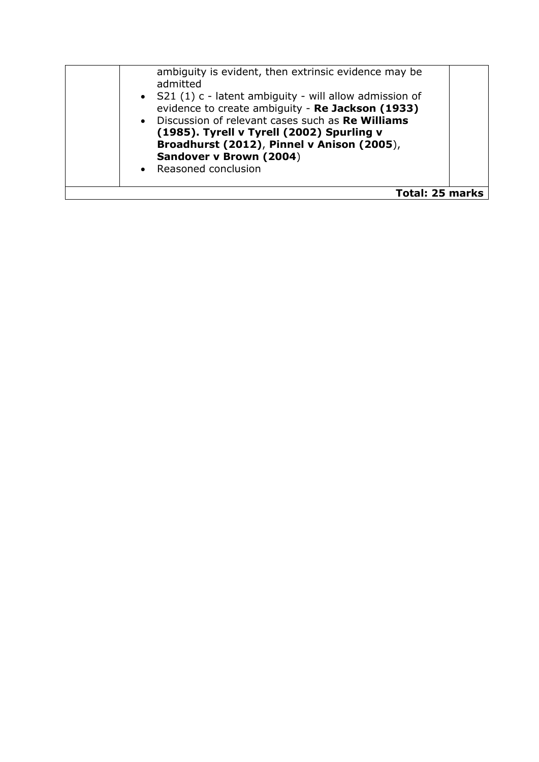| ambiguity is evident, then extrinsic evidence may be<br>admitted<br>• S21 (1) c - latent ambiguity - will allow admission of<br>evidence to create ambiguity - Re Jackson (1933)<br>• Discussion of relevant cases such as Re Williams<br>(1985). Tyrell v Tyrell (2002) Spurling v<br>Broadhurst (2012), Pinnel v Anison (2005),<br>Sandover v Brown (2004)<br>• Reasoned conclusion |  |
|---------------------------------------------------------------------------------------------------------------------------------------------------------------------------------------------------------------------------------------------------------------------------------------------------------------------------------------------------------------------------------------|--|
| <b>Total: 25 marks</b>                                                                                                                                                                                                                                                                                                                                                                |  |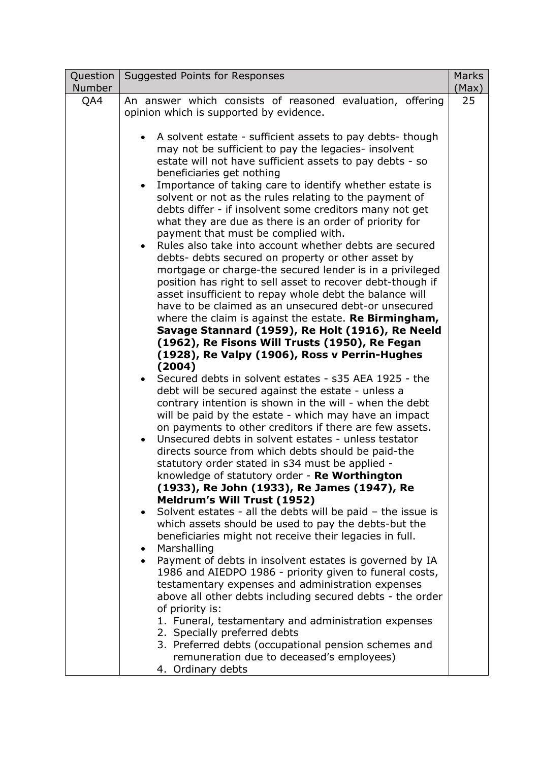| Question      | Suggested Points for Responses                                                                                | <b>Marks</b> |
|---------------|---------------------------------------------------------------------------------------------------------------|--------------|
| <b>Number</b> |                                                                                                               | (Max)        |
| QA4           | An answer which consists of reasoned evaluation, offering                                                     | 25           |
|               | opinion which is supported by evidence.                                                                       |              |
|               | A solvent estate - sufficient assets to pay debts- though                                                     |              |
|               | may not be sufficient to pay the legacies- insolvent                                                          |              |
|               | estate will not have sufficient assets to pay debts - so                                                      |              |
|               | beneficiaries get nothing                                                                                     |              |
|               | Importance of taking care to identify whether estate is<br>$\bullet$                                          |              |
|               | solvent or not as the rules relating to the payment of                                                        |              |
|               | debts differ - if insolvent some creditors many not get                                                       |              |
|               | what they are due as there is an order of priority for                                                        |              |
|               | payment that must be complied with.                                                                           |              |
|               | Rules also take into account whether debts are secured                                                        |              |
|               | debts- debts secured on property or other asset by                                                            |              |
|               | mortgage or charge-the secured lender is in a privileged                                                      |              |
|               | position has right to sell asset to recover debt-though if                                                    |              |
|               | asset insufficient to repay whole debt the balance will                                                       |              |
|               | have to be claimed as an unsecured debt-or unsecured                                                          |              |
|               | where the claim is against the estate. <b>Re Birmingham,</b>                                                  |              |
|               | Savage Stannard (1959), Re Holt (1916), Re Neeld                                                              |              |
|               | (1962), Re Fisons Will Trusts (1950), Re Fegan                                                                |              |
|               | (1928), Re Valpy (1906), Ross v Perrin-Hughes                                                                 |              |
|               | (2004)<br>Secured debts in solvent estates - s35 AEA 1925 - the                                               |              |
|               |                                                                                                               |              |
|               | debt will be secured against the estate - unless a<br>contrary intention is shown in the will - when the debt |              |
|               | will be paid by the estate - which may have an impact                                                         |              |
|               | on payments to other creditors if there are few assets.                                                       |              |
|               | Unsecured debts in solvent estates - unless testator                                                          |              |
|               | directs source from which debts should be paid-the                                                            |              |
|               | statutory order stated in s34 must be applied -                                                               |              |
|               | knowledge of statutory order - Re Worthington                                                                 |              |
|               | (1933), Re John (1933), Re James (1947), Re                                                                   |              |
|               | <b>Meldrum's Will Trust (1952)</b>                                                                            |              |
|               | Solvent estates - all the debts will be paid - the issue is                                                   |              |
|               | which assets should be used to pay the debts-but the                                                          |              |
|               | beneficiaries might not receive their legacies in full.                                                       |              |
|               | Marshalling                                                                                                   |              |
|               | Payment of debts in insolvent estates is governed by IA                                                       |              |
|               | 1986 and AIEDPO 1986 - priority given to funeral costs,                                                       |              |
|               | testamentary expenses and administration expenses                                                             |              |
|               | above all other debts including secured debts - the order                                                     |              |
|               | of priority is:                                                                                               |              |
|               | 1. Funeral, testamentary and administration expenses<br>2. Specially preferred debts                          |              |
|               | 3. Preferred debts (occupational pension schemes and                                                          |              |
|               | remuneration due to deceased's employees)                                                                     |              |
|               | 4. Ordinary debts                                                                                             |              |
|               |                                                                                                               |              |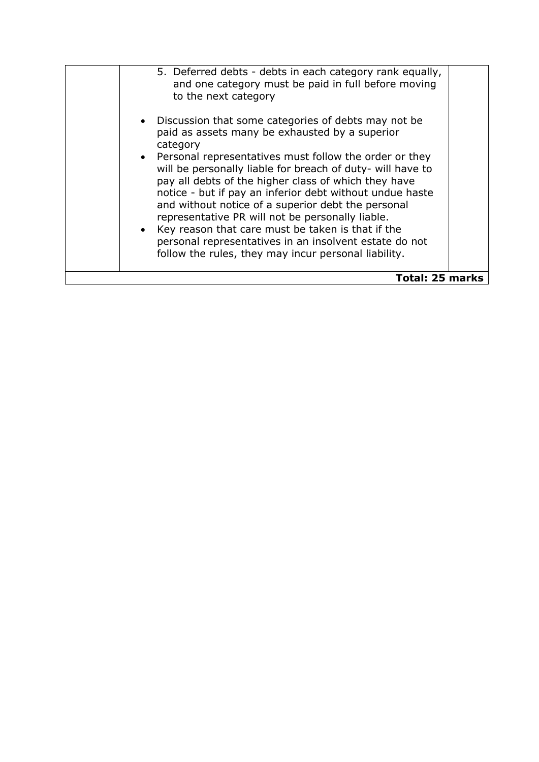| 5. Deferred debts - debts in each category rank equally,<br>and one category must be paid in full before moving<br>to the next category<br>• Discussion that some categories of debts may not be<br>paid as assets many be exhausted by a superior<br>category<br>• Personal representatives must follow the order or they<br>will be personally liable for breach of duty- will have to<br>pay all debts of the higher class of which they have<br>notice - but if pay an inferior debt without undue haste |  |
|--------------------------------------------------------------------------------------------------------------------------------------------------------------------------------------------------------------------------------------------------------------------------------------------------------------------------------------------------------------------------------------------------------------------------------------------------------------------------------------------------------------|--|
| and without notice of a superior debt the personal<br>representative PR will not be personally liable.<br>• Key reason that care must be taken is that if the<br>personal representatives in an insolvent estate do not<br>follow the rules, they may incur personal liability.                                                                                                                                                                                                                              |  |
| Total: 25 marks                                                                                                                                                                                                                                                                                                                                                                                                                                                                                              |  |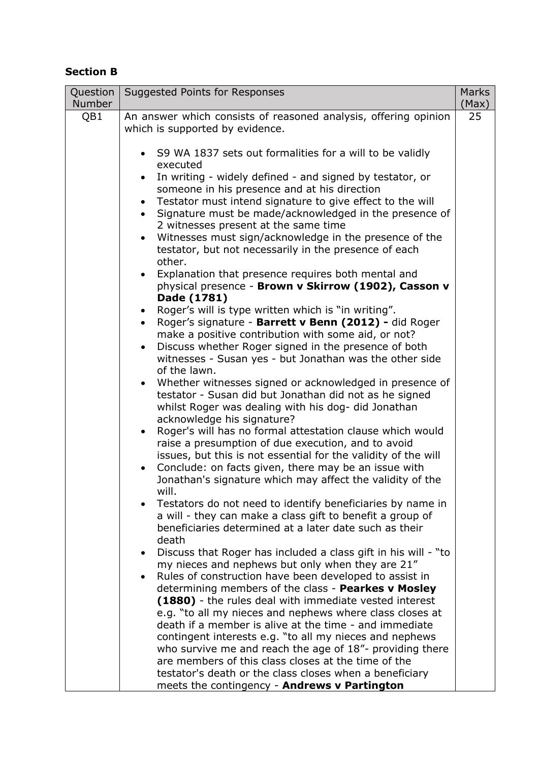# **Section B**

| Question<br><b>Number</b> | Suggested Points for Responses                                                                                               | <b>Marks</b><br>(Max) |
|---------------------------|------------------------------------------------------------------------------------------------------------------------------|-----------------------|
| QB1                       | An answer which consists of reasoned analysis, offering opinion                                                              | 25                    |
|                           | which is supported by evidence.                                                                                              |                       |
|                           |                                                                                                                              |                       |
|                           | • S9 WA 1837 sets out formalities for a will to be validly                                                                   |                       |
|                           | executed                                                                                                                     |                       |
|                           | In writing - widely defined - and signed by testator, or                                                                     |                       |
|                           | someone in his presence and at his direction                                                                                 |                       |
|                           | Testator must intend signature to give effect to the will<br>Signature must be made/acknowledged in the presence of          |                       |
|                           | 2 witnesses present at the same time                                                                                         |                       |
|                           | Witnesses must sign/acknowledge in the presence of the<br>$\bullet$                                                          |                       |
|                           | testator, but not necessarily in the presence of each                                                                        |                       |
|                           | other.                                                                                                                       |                       |
|                           | • Explanation that presence requires both mental and                                                                         |                       |
|                           | physical presence - Brown v Skirrow (1902), Casson v                                                                         |                       |
|                           | Dade (1781)                                                                                                                  |                       |
|                           | • Roger's will is type written which is "in writing".                                                                        |                       |
|                           | • Roger's signature - Barrett v Benn (2012) - did Roger                                                                      |                       |
|                           | make a positive contribution with some aid, or not?                                                                          |                       |
|                           | Discuss whether Roger signed in the presence of both<br>$\bullet$<br>witnesses - Susan yes - but Jonathan was the other side |                       |
|                           | of the lawn.                                                                                                                 |                       |
|                           | • Whether witnesses signed or acknowledged in presence of                                                                    |                       |
|                           | testator - Susan did but Jonathan did not as he signed                                                                       |                       |
|                           | whilst Roger was dealing with his dog- did Jonathan                                                                          |                       |
|                           | acknowledge his signature?                                                                                                   |                       |
|                           | Roger's will has no formal attestation clause which would                                                                    |                       |
|                           | raise a presumption of due execution, and to avoid                                                                           |                       |
|                           | issues, but this is not essential for the validity of the will                                                               |                       |
|                           | Conclude: on facts given, there may be an issue with<br>Jonathan's signature which may affect the validity of the            |                       |
|                           | will.                                                                                                                        |                       |
|                           | Testators do not need to identify beneficiaries by name in                                                                   |                       |
|                           | a will - they can make a class gift to benefit a group of                                                                    |                       |
|                           | beneficiaries determined at a later date such as their                                                                       |                       |
|                           | death                                                                                                                        |                       |
|                           | Discuss that Roger has included a class gift in his will - "to<br>$\bullet$                                                  |                       |
|                           | my nieces and nephews but only when they are 21"                                                                             |                       |
|                           | Rules of construction have been developed to assist in                                                                       |                       |
|                           | determining members of the class - Pearkes v Mosley                                                                          |                       |
|                           | (1880) - the rules deal with immediate vested interest<br>e.g. "to all my nieces and nephews where class closes at           |                       |
|                           | death if a member is alive at the time - and immediate                                                                       |                       |
|                           | contingent interests e.g. "to all my nieces and nephews                                                                      |                       |
|                           | who survive me and reach the age of 18"- providing there                                                                     |                       |
|                           | are members of this class closes at the time of the                                                                          |                       |
|                           | testator's death or the class closes when a beneficiary                                                                      |                       |
|                           | meets the contingency - Andrews v Partington                                                                                 |                       |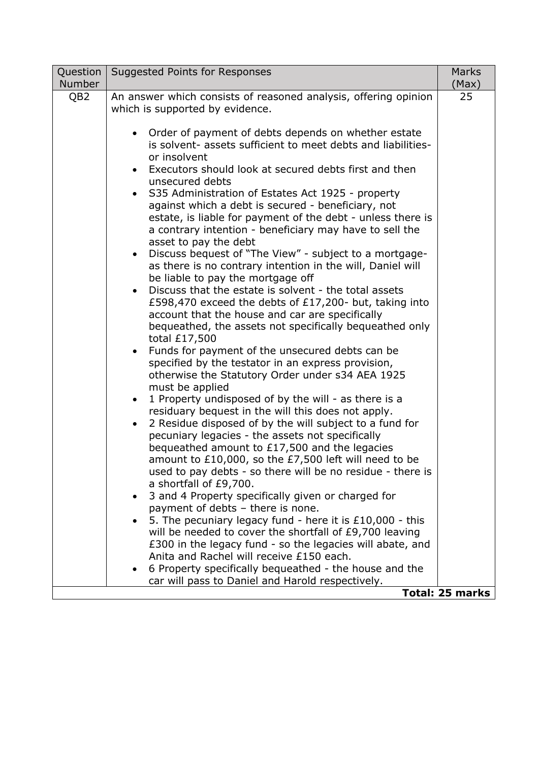| Question        | Suggested Points for Responses                                       | <b>Marks</b>           |
|-----------------|----------------------------------------------------------------------|------------------------|
| <b>Number</b>   |                                                                      | (Max)                  |
| QB <sub>2</sub> | An answer which consists of reasoned analysis, offering opinion      | 25                     |
|                 | which is supported by evidence.                                      |                        |
|                 |                                                                      |                        |
|                 | Order of payment of debts depends on whether estate<br>$\bullet$     |                        |
|                 | is solvent- assets sufficient to meet debts and liabilities-         |                        |
|                 | or insolvent                                                         |                        |
|                 | Executors should look at secured debts first and then                |                        |
|                 | unsecured debts                                                      |                        |
|                 | S35 Administration of Estates Act 1925 - property                    |                        |
|                 | against which a debt is secured - beneficiary, not                   |                        |
|                 | estate, is liable for payment of the debt - unless there is          |                        |
|                 | a contrary intention - beneficiary may have to sell the              |                        |
|                 | asset to pay the debt                                                |                        |
|                 | Discuss bequest of "The View" - subject to a mortgage-               |                        |
|                 | as there is no contrary intention in the will, Daniel will           |                        |
|                 | be liable to pay the mortgage off                                    |                        |
|                 | Discuss that the estate is solvent - the total assets                |                        |
|                 | £598,470 exceed the debts of £17,200- but, taking into               |                        |
|                 | account that the house and car are specifically                      |                        |
|                 | bequeathed, the assets not specifically bequeathed only              |                        |
|                 | total £17,500                                                        |                        |
|                 | Funds for payment of the unsecured debts can be                      |                        |
|                 | specified by the testator in an express provision,                   |                        |
|                 | otherwise the Statutory Order under s34 AEA 1925                     |                        |
|                 | must be applied                                                      |                        |
|                 | 1 Property undisposed of by the will - as there is a<br>$\bullet$    |                        |
|                 | residuary bequest in the will this does not apply.                   |                        |
|                 | 2 Residue disposed of by the will subject to a fund for<br>$\bullet$ |                        |
|                 | pecuniary legacies - the assets not specifically                     |                        |
|                 | bequeathed amount to £17,500 and the legacies                        |                        |
|                 | amount to £10,000, so the £7,500 left will need to be                |                        |
|                 | used to pay debts - so there will be no residue - there is           |                        |
|                 | a shortfall of £9,700.                                               |                        |
|                 | 3 and 4 Property specifically given or charged for                   |                        |
|                 | payment of debts - there is none.                                    |                        |
|                 | 5. The pecuniary legacy fund - here it is $£10,000 - this$           |                        |
|                 | will be needed to cover the shortfall of £9,700 leaving              |                        |
|                 | £300 in the legacy fund - so the legacies will abate, and            |                        |
|                 | Anita and Rachel will receive £150 each.                             |                        |
|                 | 6 Property specifically bequeathed - the house and the               |                        |
|                 | car will pass to Daniel and Harold respectively.                     |                        |
|                 |                                                                      | <b>Total: 25 marks</b> |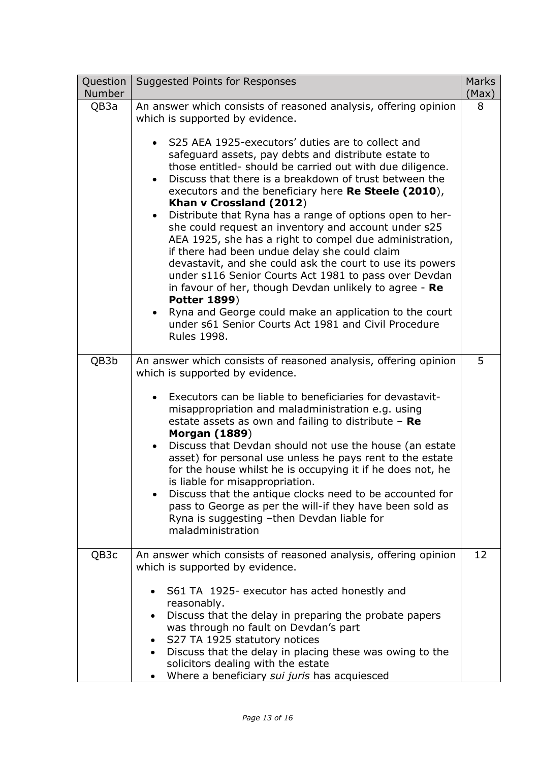| Question<br><b>Number</b> | Suggested Points for Responses                                                                                                                                                                                                                                                                                                                                                                                                                                                                                                                                                                                                                                                                                                                                                                                                                                                                                                                                                                                                    | <b>Marks</b><br>(Max) |
|---------------------------|-----------------------------------------------------------------------------------------------------------------------------------------------------------------------------------------------------------------------------------------------------------------------------------------------------------------------------------------------------------------------------------------------------------------------------------------------------------------------------------------------------------------------------------------------------------------------------------------------------------------------------------------------------------------------------------------------------------------------------------------------------------------------------------------------------------------------------------------------------------------------------------------------------------------------------------------------------------------------------------------------------------------------------------|-----------------------|
| QB3a                      | An answer which consists of reasoned analysis, offering opinion<br>which is supported by evidence.<br>S25 AEA 1925-executors' duties are to collect and<br>safeguard assets, pay debts and distribute estate to<br>those entitled-should be carried out with due diligence.<br>Discuss that there is a breakdown of trust between the<br>$\bullet$<br>executors and the beneficiary here Re Steele (2010),<br>Khan v Crossland (2012)<br>Distribute that Ryna has a range of options open to her-<br>$\bullet$<br>she could request an inventory and account under s25<br>AEA 1925, she has a right to compel due administration,<br>if there had been undue delay she could claim<br>devastavit, and she could ask the court to use its powers<br>under s116 Senior Courts Act 1981 to pass over Devdan<br>in favour of her, though Devdan unlikely to agree - Re<br><b>Potter 1899)</b><br>Ryna and George could make an application to the court<br>under s61 Senior Courts Act 1981 and Civil Procedure<br><b>Rules 1998.</b> | 8                     |
| QB3b                      | An answer which consists of reasoned analysis, offering opinion<br>which is supported by evidence.<br>Executors can be liable to beneficiaries for devastavit-<br>misappropriation and maladministration e.g. using<br>estate assets as own and failing to distribute $-$ Re<br><b>Morgan (1889)</b><br>Discuss that Devdan should not use the house (an estate<br>$\bullet$<br>asset) for personal use unless he pays rent to the estate<br>for the house whilst he is occupying it if he does not, he<br>is liable for misappropriation.<br>Discuss that the antique clocks need to be accounted for<br>pass to George as per the will-if they have been sold as<br>Ryna is suggesting -then Devdan liable for<br>maladministration                                                                                                                                                                                                                                                                                             | 5                     |
| QB3c                      | An answer which consists of reasoned analysis, offering opinion<br>which is supported by evidence.<br>S61 TA 1925- executor has acted honestly and<br>$\bullet$<br>reasonably.<br>Discuss that the delay in preparing the probate papers<br>was through no fault on Devdan's part<br>S27 TA 1925 statutory notices<br>$\bullet$<br>Discuss that the delay in placing these was owing to the<br>$\bullet$<br>solicitors dealing with the estate<br>Where a beneficiary sui juris has acquiesced                                                                                                                                                                                                                                                                                                                                                                                                                                                                                                                                    | 12                    |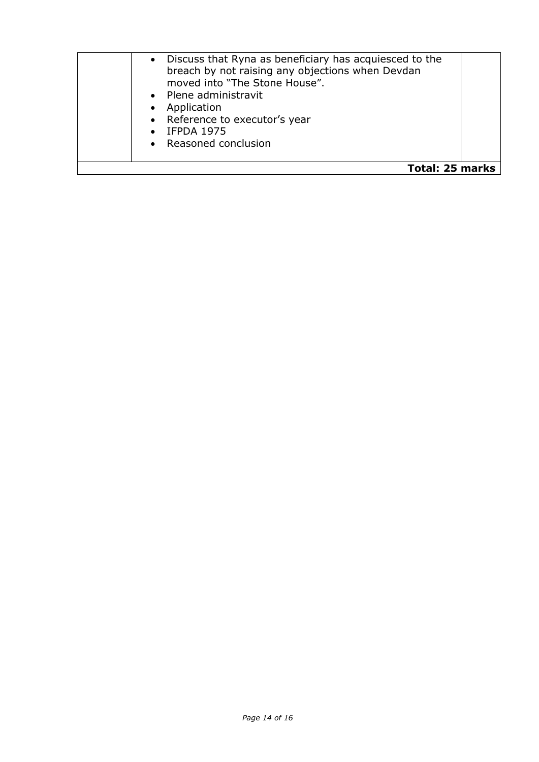| $\bullet$       | Discuss that Ryna as beneficiary has acquiesced to the<br>breach by not raising any objections when Devdan<br>moved into "The Stone House".<br>• Plene administravit<br>Application<br>• Reference to executor's year<br>$\bullet$ IFPDA 1975<br>• Reasoned conclusion |  |
|-----------------|------------------------------------------------------------------------------------------------------------------------------------------------------------------------------------------------------------------------------------------------------------------------|--|
| Total: 25 marks |                                                                                                                                                                                                                                                                        |  |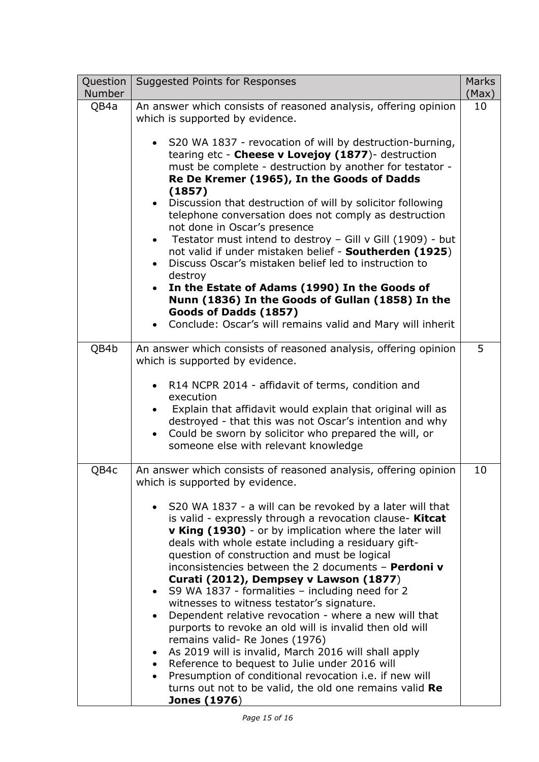| Question<br><b>Number</b> | Suggested Points for Responses                                                                                                                                                                                                                                                                                                                                                                                                                                                                                                                                                                                                                                                                                                                                                                                                                                                                                                | <b>Marks</b><br>(Max) |
|---------------------------|-------------------------------------------------------------------------------------------------------------------------------------------------------------------------------------------------------------------------------------------------------------------------------------------------------------------------------------------------------------------------------------------------------------------------------------------------------------------------------------------------------------------------------------------------------------------------------------------------------------------------------------------------------------------------------------------------------------------------------------------------------------------------------------------------------------------------------------------------------------------------------------------------------------------------------|-----------------------|
| QB4a                      | An answer which consists of reasoned analysis, offering opinion<br>which is supported by evidence.                                                                                                                                                                                                                                                                                                                                                                                                                                                                                                                                                                                                                                                                                                                                                                                                                            | 10                    |
|                           | • S20 WA 1837 - revocation of will by destruction-burning,<br>tearing etc - Cheese v Lovejoy (1877)- destruction<br>must be complete - destruction by another for testator -<br>Re De Kremer (1965), In the Goods of Dadds<br>(1857)<br>Discussion that destruction of will by solicitor following<br>$\bullet$<br>telephone conversation does not comply as destruction<br>not done in Oscar's presence<br>Testator must intend to destroy - Gill v Gill (1909) - but<br>$\bullet$<br>not valid if under mistaken belief - Southerden (1925)<br>Discuss Oscar's mistaken belief led to instruction to<br>destroy<br>In the Estate of Adams (1990) In the Goods of<br>$\bullet$<br>Nunn (1836) In the Goods of Gullan (1858) In the<br>Goods of Dadds (1857)<br>Conclude: Oscar's will remains valid and Mary will inherit                                                                                                    |                       |
| QB4b                      | An answer which consists of reasoned analysis, offering opinion<br>which is supported by evidence.                                                                                                                                                                                                                                                                                                                                                                                                                                                                                                                                                                                                                                                                                                                                                                                                                            | 5                     |
|                           | R14 NCPR 2014 - affidavit of terms, condition and<br>$\bullet$<br>execution<br>Explain that affidavit would explain that original will as<br>destroyed - that this was not Oscar's intention and why<br>Could be sworn by solicitor who prepared the will, or<br>someone else with relevant knowledge                                                                                                                                                                                                                                                                                                                                                                                                                                                                                                                                                                                                                         |                       |
| QB4c                      | An answer which consists of reasoned analysis, offering opinion<br>which is supported by evidence.                                                                                                                                                                                                                                                                                                                                                                                                                                                                                                                                                                                                                                                                                                                                                                                                                            | 10                    |
|                           | S20 WA 1837 - a will can be revoked by a later will that<br>is valid - expressly through a revocation clause- <b>Kitcat</b><br><b>v King (1930)</b> - or by implication where the later will<br>deals with whole estate including a residuary gift-<br>question of construction and must be logical<br>inconsistencies between the 2 documents - Perdoni v<br>Curati (2012), Dempsey v Lawson (1877)<br>S9 WA 1837 - formalities - including need for 2<br>$\bullet$<br>witnesses to witness testator's signature.<br>Dependent relative revocation - where a new will that<br>purports to revoke an old will is invalid then old will<br>remains valid- Re Jones (1976)<br>As 2019 will is invalid, March 2016 will shall apply<br>Reference to bequest to Julie under 2016 will<br>Presumption of conditional revocation i.e. if new will<br>turns out not to be valid, the old one remains valid Re<br><b>Jones (1976)</b> |                       |